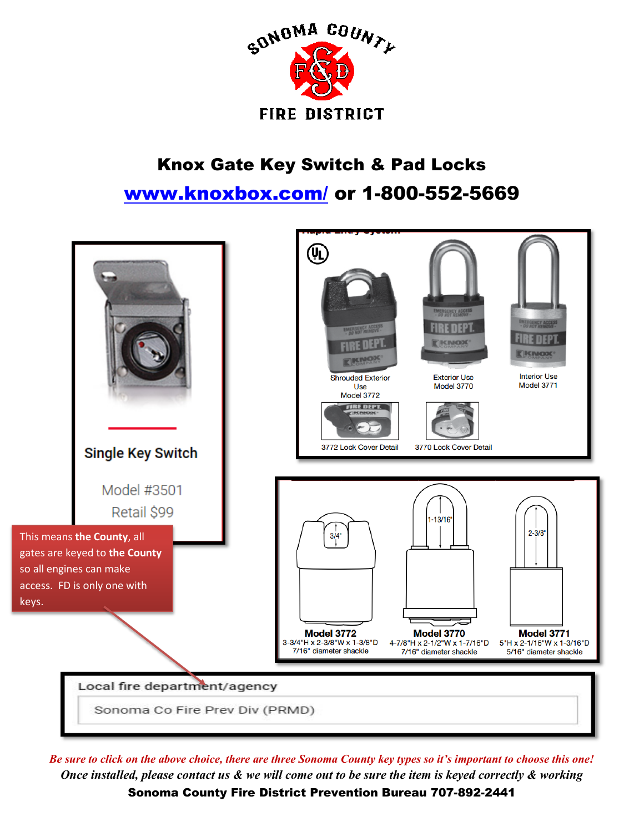

## Knox Gate Key Switch & Pad Locks [www.knoxbox.com/](http://www.knoxbox.com/) or 1-800-552-5669



*Be sure to click on the above choice, there are three Sonoma County key types so it's important to choose this one! Once installed, please contact us & we will come out to be sure the item is keyed correctly & working* 

Sonoma County Fire District Prevention Bureau 707-892-2441